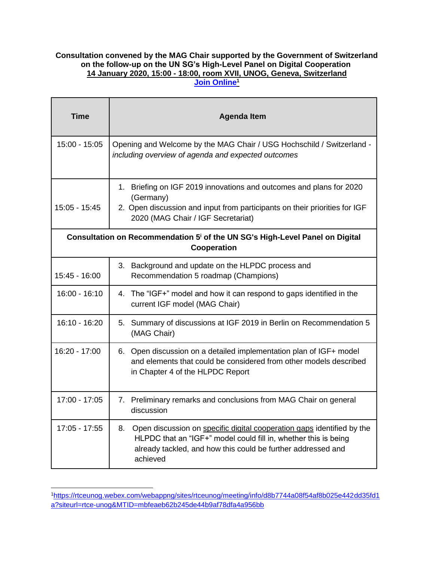## **Consultation convened by the MAG Chair supported by the Government of Switzerland on the follow-up on the UN SG's High-Level Panel on Digital Cooperation 14 January 2020, 15:00 - 18:00, room XVII, UNOG, Geneva, Switzerland [Join Online](https://rtce-unog.webex.com/webappng/sites/rtce-unog/meeting/info/d8b7744a08f54af8b025e442dd35fd1a?siteurl=rtce-unog&MTID=mbfeaeb62b245de44b9af78dfa4a956bb)<sup>1</sup>**

| <b>Time</b>                                                                                             | <b>Agenda Item</b>                                                                                                                                                                                                          |  |
|---------------------------------------------------------------------------------------------------------|-----------------------------------------------------------------------------------------------------------------------------------------------------------------------------------------------------------------------------|--|
| $15:00 - 15:05$                                                                                         | Opening and Welcome by the MAG Chair / USG Hochschild / Switzerland -<br>including overview of agenda and expected outcomes                                                                                                 |  |
| $15:05 - 15:45$                                                                                         | 1. Briefing on IGF 2019 innovations and outcomes and plans for 2020<br>(Germany)<br>2. Open discussion and input from participants on their priorities for IGF<br>2020 (MAG Chair / IGF Secretariat)                        |  |
| Consultation on Recommendation 5 <sup>i</sup> of the UN SG's High-Level Panel on Digital<br>Cooperation |                                                                                                                                                                                                                             |  |
| 15:45 - 16:00                                                                                           | Background and update on the HLPDC process and<br>3.<br>Recommendation 5 roadmap (Champions)                                                                                                                                |  |
| $16:00 - 16:10$                                                                                         | 4. The "IGF+" model and how it can respond to gaps identified in the<br>current IGF model (MAG Chair)                                                                                                                       |  |
| 16:10 - 16:20                                                                                           | 5.<br>Summary of discussions at IGF 2019 in Berlin on Recommendation 5<br>(MAG Chair)                                                                                                                                       |  |
| 16:20 - 17:00                                                                                           | 6. Open discussion on a detailed implementation plan of IGF+ model<br>and elements that could be considered from other models described<br>in Chapter 4 of the HLPDC Report                                                 |  |
| 17:00 - 17:05                                                                                           | 7. Preliminary remarks and conclusions from MAG Chair on general<br>discussion                                                                                                                                              |  |
| 17:05 - 17:55                                                                                           | Open discussion on specific digital cooperation gaps identified by the<br>8.<br>HLPDC that an "IGF+" model could fill in, whether this is being<br>already tackled, and how this could be further addressed and<br>achieved |  |

<sup>1</sup>[https://rtceunog.webex.com/webappng/sites/rtceunog/meeting/info/d8b7744a08f54af8b025e442dd35fd1](https://rtceunog.webex.com/webappng/sites/rtceunog/meeting/info/d8b7744a08f54af8b025e442dd35fd1a?siteurl=rtce-unog&MTID=mbfeaeb62b245de44b9af78dfa4a956bb) [a?siteurl=rtce-unog&MTID=mbfeaeb62b245de44b9af78dfa4a956bb](https://rtceunog.webex.com/webappng/sites/rtceunog/meeting/info/d8b7744a08f54af8b025e442dd35fd1a?siteurl=rtce-unog&MTID=mbfeaeb62b245de44b9af78dfa4a956bb)

 $\overline{a}$